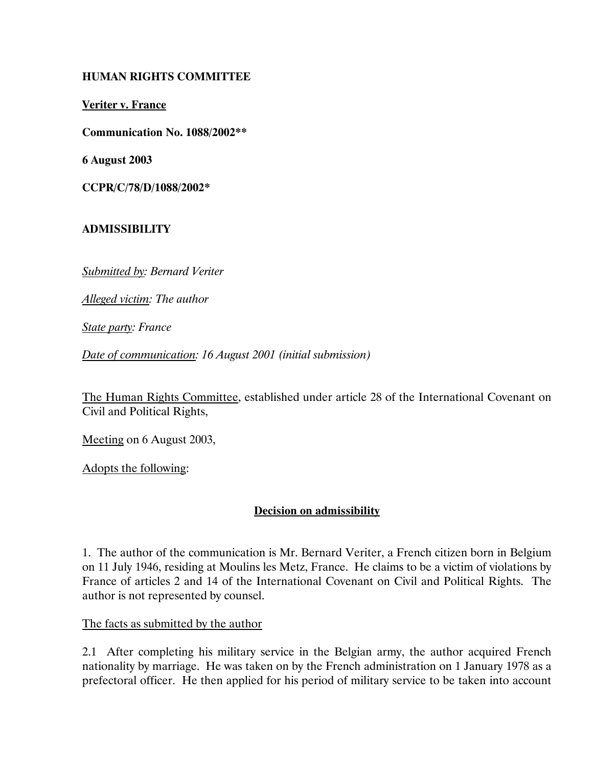### HUMAN RIGHTS COMMITTEE

Veriter v. France

Communication No. 1088/2002\*\*

6 August 2003

CCPR/C/78/D/1088/2002\*

#### ADMISSIBILITY

Submitted by: Bernard Veriter

Alleged victim: The author

State party: France

Date of communication: 16 August 2001 (initial submission)

The Human Rights Committee, established under article 28 of the International Covenant on Civil and Political Rights,

Meeting on 6 August 2003,

Adopts the following:

#### Decision on admissibility

1. The author of the communication is Mr. Bernard Veriter, a French citizen born in Belgium on 11 July 1946, residing at Moulins les Metz, France. He claims to be a victim of violations by France of articles 2 and 14 of the International Covenant on Civil and Political Rights. The author is not represented by counsel.

The facts as submitted by the author

2.1 After completing his military service in the Belgian army, the author acquired French nationality by marriage. He was taken on by the French administration on 1 January 1978 as a prefectoral officer. He then applied for his period of military service to be taken into account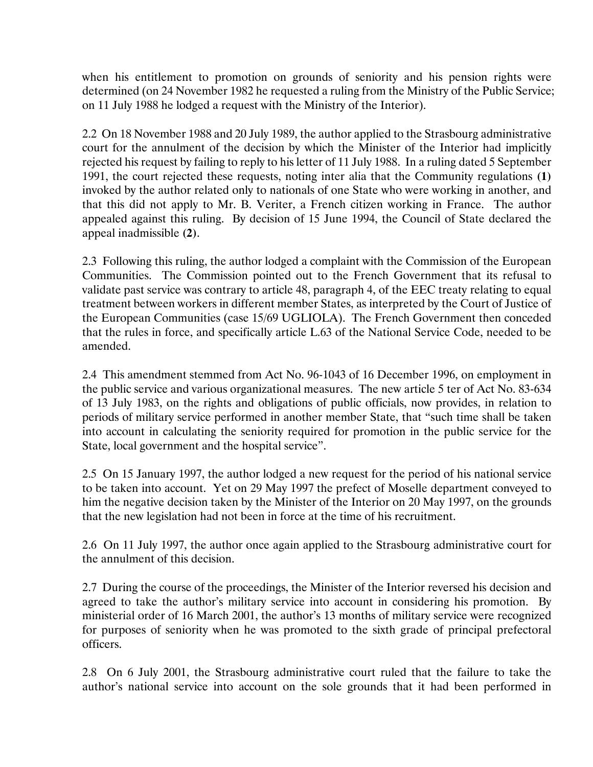when his entitlement to promotion on grounds of seniority and his pension rights were determined (on 24 November 1982 he requested a ruling from the Ministry of the Public Service; on 11 July 1988 he lodged a request with the Ministry of the Interior).

2.2 On 18 November 1988 and 20 July 1989, the author applied to the Strasbourg administrative court for the annulment of the decision by which the Minister of the Interior had implicitly rejected his request by failing to reply to his letter of 11 July 1988. In a ruling dated 5 September 1991, the court rejected these requests, noting inter alia that the Community regulations (1) invoked by the author related only to nationals of one State who were working in another, and that this did not apply to Mr. B. Veriter, a French citizen working in France. The author appealed against this ruling. By decision of 15 June 1994, the Council of State declared the appeal inadmissible (2).

2.3 Following this ruling, the author lodged a complaint with the Commission of the European Communities. The Commission pointed out to the French Government that its refusal to validate past service was contrary to article 48, paragraph 4, of the EEC treaty relating to equal treatment between workers in different member States, as interpreted by the Court of Justice of the European Communities (case 15/69 UGLIOLA). The French Government then conceded that the rules in force, and specifically article L.63 of the National Service Code, needed to be amended.

2.4 This amendment stemmed from Act No. 96-1043 of 16 December 1996, on employment in the public service and various organizational measures. The new article 5 ter of Act No. 83-634 of 13 July 1983, on the rights and obligations of public officials, now provides, in relation to periods of military service performed in another member State, that "such time shall be taken into account in calculating the seniority required for promotion in the public service for the State, local government and the hospital service".

2.5 On 15 January 1997, the author lodged a new request for the period of his national service to be taken into account. Yet on 29 May 1997 the prefect of Moselle department conveyed to him the negative decision taken by the Minister of the Interior on 20 May 1997, on the grounds that the new legislation had not been in force at the time of his recruitment.

2.6 On 11 July 1997, the author once again applied to the Strasbourg administrative court for the annulment of this decision.

2.7 During the course of the proceedings, the Minister of the Interior reversed his decision and agreed to take the author's military service into account in considering his promotion. By ministerial order of 16 March 2001, the author's 13 months of military service were recognized for purposes of seniority when he was promoted to the sixth grade of principal prefectoral officers.

2.8 On 6 July 2001, the Strasbourg administrative court ruled that the failure to take the author's national service into account on the sole grounds that it had been performed in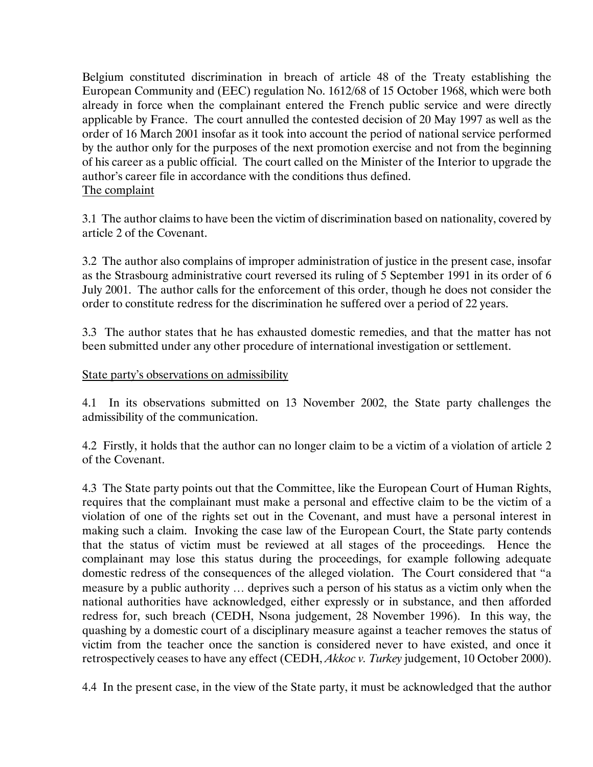Belgium constituted discrimination in breach of article 48 of the Treaty establishing the European Community and (EEC) regulation No. 1612/68 of 15 October 1968, which were both already in force when the complainant entered the French public service and were directly applicable by France. The court annulled the contested decision of 20 May 1997 as well as the order of 16 March 2001 insofar as it took into account the period of national service performed by the author only for the purposes of the next promotion exercise and not from the beginning of his career as a public official. The court called on the Minister of the Interior to upgrade the author's career file in accordance with the conditions thus defined. The complaint

3.1 The author claims to have been the victim of discrimination based on nationality, covered by article 2 of the Covenant.

3.2 The author also complains of improper administration of justice in the present case, insofar as the Strasbourg administrative court reversed its ruling of 5 September 1991 in its order of 6 July 2001. The author calls for the enforcement of this order, though he does not consider the order to constitute redress for the discrimination he suffered over a period of 22 years.

3.3 The author states that he has exhausted domestic remedies, and that the matter has not been submitted under any other procedure of international investigation or settlement.

### State party's observations on admissibility

4.1 In its observations submitted on 13 November 2002, the State party challenges the admissibility of the communication.

4.2 Firstly, it holds that the author can no longer claim to be a victim of a violation of article 2 of the Covenant.

4.3 The State party points out that the Committee, like the European Court of Human Rights, requires that the complainant must make a personal and effective claim to be the victim of a violation of one of the rights set out in the Covenant, and must have a personal interest in making such a claim. Invoking the case law of the European Court, the State party contends that the status of victim must be reviewed at all stages of the proceedings. Hence the complainant may lose this status during the proceedings, for example following adequate domestic redress of the consequences of the alleged violation. The Court considered that "a measure by a public authority … deprives such a person of his status as a victim only when the national authorities have acknowledged, either expressly or in substance, and then afforded redress for, such breach (CEDH, Nsona judgement, 28 November 1996). In this way, the quashing by a domestic court of a disciplinary measure against a teacher removes the status of victim from the teacher once the sanction is considered never to have existed, and once it retrospectively ceases to have any effect (CEDH, Akkoc v. Turkey judgement, 10 October 2000).

4.4 In the present case, in the view of the State party, it must be acknowledged that the author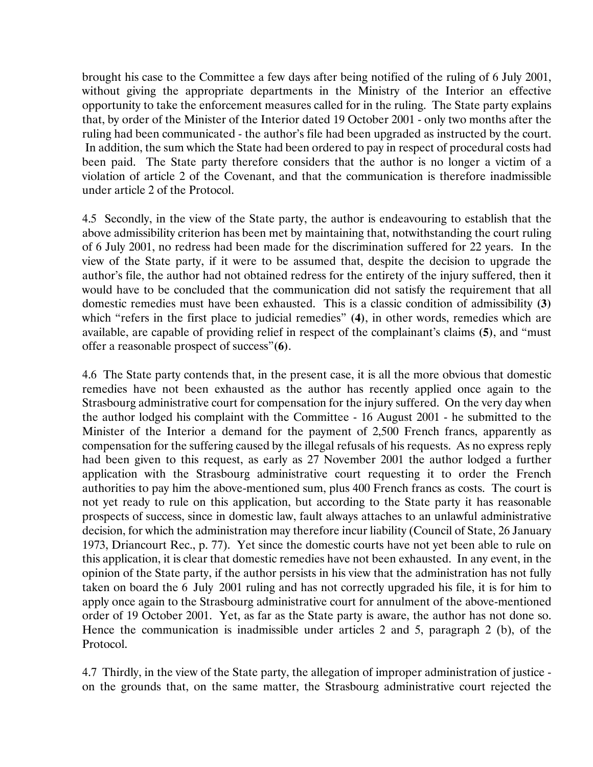brought his case to the Committee a few days after being notified of the ruling of 6 July 2001, without giving the appropriate departments in the Ministry of the Interior an effective opportunity to take the enforcement measures called for in the ruling. The State party explains that, by order of the Minister of the Interior dated 19 October 2001 - only two months after the ruling had been communicated - the author's file had been upgraded as instructed by the court. In addition, the sum which the State had been ordered to pay in respect of procedural costs had been paid. The State party therefore considers that the author is no longer a victim of a violation of article 2 of the Covenant, and that the communication is therefore inadmissible under article 2 of the Protocol.

4.5 Secondly, in the view of the State party, the author is endeavouring to establish that the above admissibility criterion has been met by maintaining that, notwithstanding the court ruling of 6 July 2001, no redress had been made for the discrimination suffered for 22 years. In the view of the State party, if it were to be assumed that, despite the decision to upgrade the author's file, the author had not obtained redress for the entirety of the injury suffered, then it would have to be concluded that the communication did not satisfy the requirement that all domestic remedies must have been exhausted. This is a classic condition of admissibility (3) which "refers in the first place to judicial remedies" (4), in other words, remedies which are available, are capable of providing relief in respect of the complainant's claims (5), and "must offer a reasonable prospect of success"(6).

4.6 The State party contends that, in the present case, it is all the more obvious that domestic remedies have not been exhausted as the author has recently applied once again to the Strasbourg administrative court for compensation for the injury suffered. On the very day when the author lodged his complaint with the Committee - 16 August 2001 - he submitted to the Minister of the Interior a demand for the payment of 2,500 French francs, apparently as compensation for the suffering caused by the illegal refusals of his requests. As no express reply had been given to this request, as early as 27 November 2001 the author lodged a further application with the Strasbourg administrative court requesting it to order the French authorities to pay him the above-mentioned sum, plus 400 French francs as costs. The court is not yet ready to rule on this application, but according to the State party it has reasonable prospects of success, since in domestic law, fault always attaches to an unlawful administrative decision, for which the administration may therefore incur liability (Council of State, 26 January 1973, Driancourt Rec., p. 77). Yet since the domestic courts have not yet been able to rule on this application, it is clear that domestic remedies have not been exhausted. In any event, in the opinion of the State party, if the author persists in his view that the administration has not fully taken on board the 6 July 2001 ruling and has not correctly upgraded his file, it is for him to apply once again to the Strasbourg administrative court for annulment of the above-mentioned order of 19 October 2001. Yet, as far as the State party is aware, the author has not done so. Hence the communication is inadmissible under articles 2 and 5, paragraph 2 (b), of the Protocol.

4.7 Thirdly, in the view of the State party, the allegation of improper administration of justice on the grounds that, on the same matter, the Strasbourg administrative court rejected the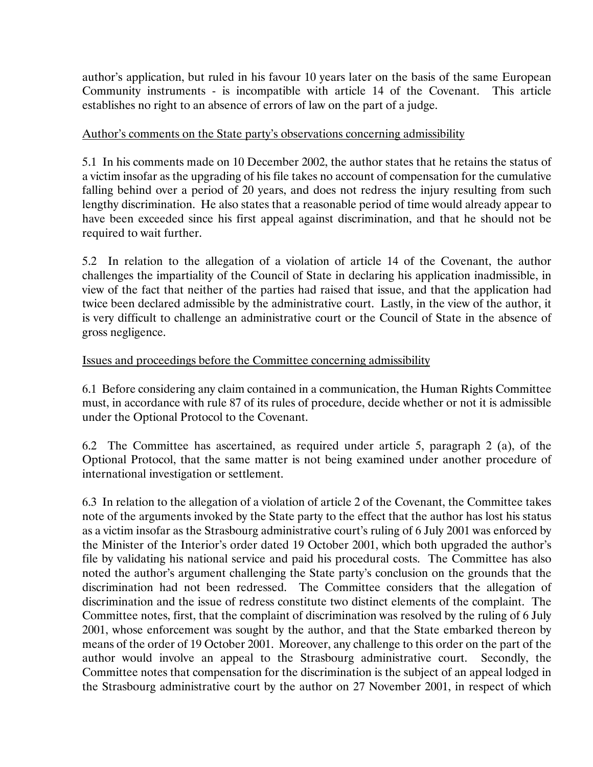author's application, but ruled in his favour 10 years later on the basis of the same European Community instruments - is incompatible with article 14 of the Covenant. This article establishes no right to an absence of errors of law on the part of a judge.

## Author's comments on the State party's observations concerning admissibility

5.1 In his comments made on 10 December 2002, the author states that he retains the status of a victim insofar as the upgrading of his file takes no account of compensation for the cumulative falling behind over a period of 20 years, and does not redress the injury resulting from such lengthy discrimination. He also states that a reasonable period of time would already appear to have been exceeded since his first appeal against discrimination, and that he should not be required to wait further.

5.2 In relation to the allegation of a violation of article 14 of the Covenant, the author challenges the impartiality of the Council of State in declaring his application inadmissible, in view of the fact that neither of the parties had raised that issue, and that the application had twice been declared admissible by the administrative court. Lastly, in the view of the author, it is very difficult to challenge an administrative court or the Council of State in the absence of gross negligence.

# Issues and proceedings before the Committee concerning admissibility

6.1 Before considering any claim contained in a communication, the Human Rights Committee must, in accordance with rule 87 of its rules of procedure, decide whether or not it is admissible under the Optional Protocol to the Covenant.

6.2 The Committee has ascertained, as required under article 5, paragraph 2 (a), of the Optional Protocol, that the same matter is not being examined under another procedure of international investigation or settlement.

6.3 In relation to the allegation of a violation of article 2 of the Covenant, the Committee takes note of the arguments invoked by the State party to the effect that the author has lost his status as a victim insofar as the Strasbourg administrative court's ruling of 6 July 2001 was enforced by the Minister of the Interior's order dated 19 October 2001, which both upgraded the author's file by validating his national service and paid his procedural costs. The Committee has also noted the author's argument challenging the State party's conclusion on the grounds that the discrimination had not been redressed. The Committee considers that the allegation of discrimination and the issue of redress constitute two distinct elements of the complaint. The Committee notes, first, that the complaint of discrimination was resolved by the ruling of 6 July 2001, whose enforcement was sought by the author, and that the State embarked thereon by means of the order of 19 October 2001. Moreover, any challenge to this order on the part of the author would involve an appeal to the Strasbourg administrative court. Secondly, the Committee notes that compensation for the discrimination is the subject of an appeal lodged in the Strasbourg administrative court by the author on 27 November 2001, in respect of which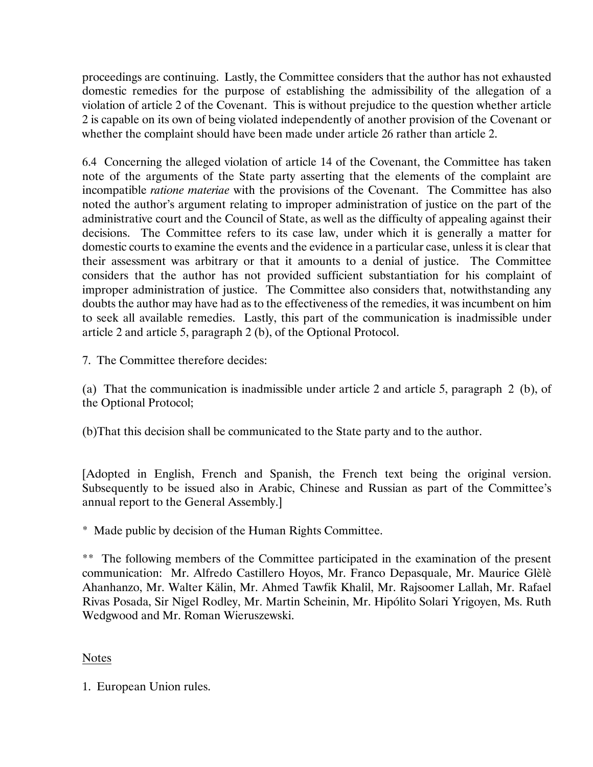proceedings are continuing. Lastly, the Committee considers that the author has not exhausted domestic remedies for the purpose of establishing the admissibility of the allegation of a violation of article 2 of the Covenant. This is without prejudice to the question whether article 2 is capable on its own of being violated independently of another provision of the Covenant or whether the complaint should have been made under article 26 rather than article 2.

6.4 Concerning the alleged violation of article 14 of the Covenant, the Committee has taken note of the arguments of the State party asserting that the elements of the complaint are incompatible *ratione materiae* with the provisions of the Covenant. The Committee has also noted the author's argument relating to improper administration of justice on the part of the administrative court and the Council of State, as well as the difficulty of appealing against their decisions. The Committee refers to its case law, under which it is generally a matter for domestic courts to examine the events and the evidence in a particular case, unless it is clear that their assessment was arbitrary or that it amounts to a denial of justice. The Committee considers that the author has not provided sufficient substantiation for his complaint of improper administration of justice. The Committee also considers that, notwithstanding any doubts the author may have had as to the effectiveness of the remedies, it was incumbent on him to seek all available remedies. Lastly, this part of the communication is inadmissible under article 2 and article 5, paragraph 2 (b), of the Optional Protocol.

7. The Committee therefore decides:

(a) That the communication is inadmissible under article 2 and article 5, paragraph 2 (b), of the Optional Protocol;

(b)That this decision shall be communicated to the State party and to the author.

[Adopted in English, French and Spanish, the French text being the original version. Subsequently to be issued also in Arabic, Chinese and Russian as part of the Committee's annual report to the General Assembly.]

\* Made public by decision of the Human Rights Committee.

\*\* The following members of the Committee participated in the examination of the present communication: Mr. Alfredo Castillero Hoyos, Mr. Franco Depasquale, Mr. Maurice Glèlè Ahanhanzo, Mr. Walter Kälin, Mr. Ahmed Tawfik Khalil, Mr. Rajsoomer Lallah, Mr. Rafael Rivas Posada, Sir Nigel Rodley, Mr. Martin Scheinin, Mr. Hipólito Solari Yrigoyen, Ms. Ruth Wedgwood and Mr. Roman Wieruszewski.

# Notes

1. European Union rules.